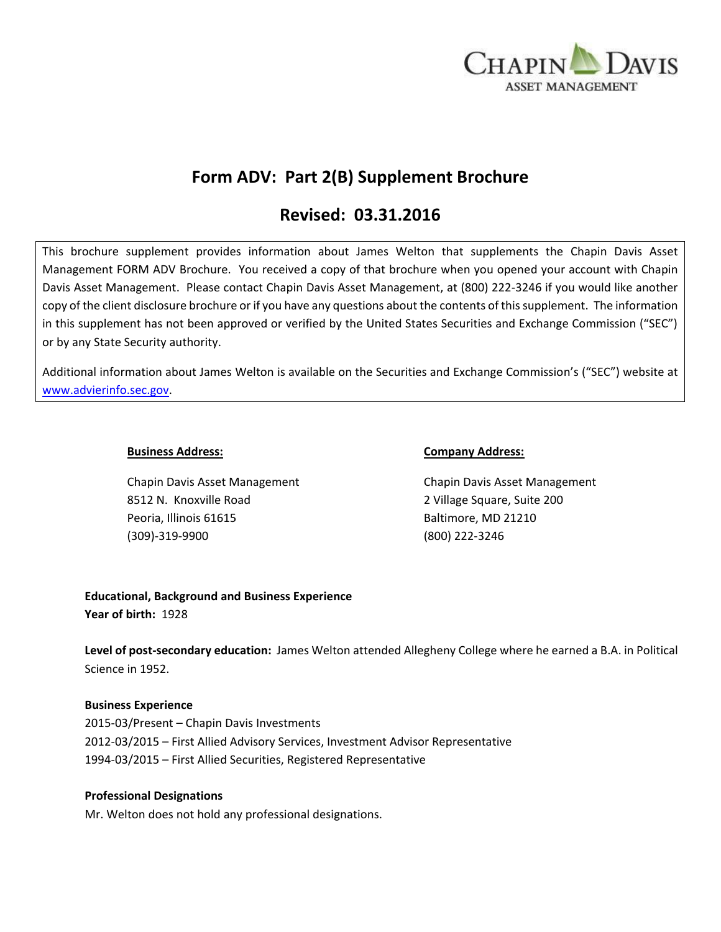

# **Form ADV: Part 2(B) Supplement Brochure**

## **Revised: 03.31.2016**

This brochure supplement provides information about James Welton that supplements the Chapin Davis Asset Management FORM ADV Brochure. You received a copy of that brochure when you opened your account with Chapin Davis Asset Management. Please contact Chapin Davis Asset Management, at (800) 222-3246 if you would like another copy of the client disclosure brochure or if you have any questions about the contents of this supplement. The information in this supplement has not been approved or verified by the United States Securities and Exchange Commission ("SEC") or by any State Security authority.

Additional information about James Welton is available on the Securities and Exchange Commission's ("SEC") website at [www.advierinfo.sec.gov.](http://www.advierinfo.sec.gov/)

Chapin Davis Asset Management Chapin Davis Asset Management 8512 N. Knoxville Road 2 Village Square, Suite 200 Peoria, Illinois 61615 Baltimore, MD 21210 (309)-319-9900 (800) 222-3246

#### **Business Address: Company Address:**

## **Educational, Background and Business Experience Year of birth:** 1928

**Level of post-secondary education:** James Welton attended Allegheny College where he earned a B.A. in Political Science in 1952.

#### **Business Experience**

2015-03/Present – Chapin Davis Investments 2012-03/2015 – First Allied Advisory Services, Investment Advisor Representative 1994-03/2015 – First Allied Securities, Registered Representative

#### **Professional Designations**

Mr. Welton does not hold any professional designations.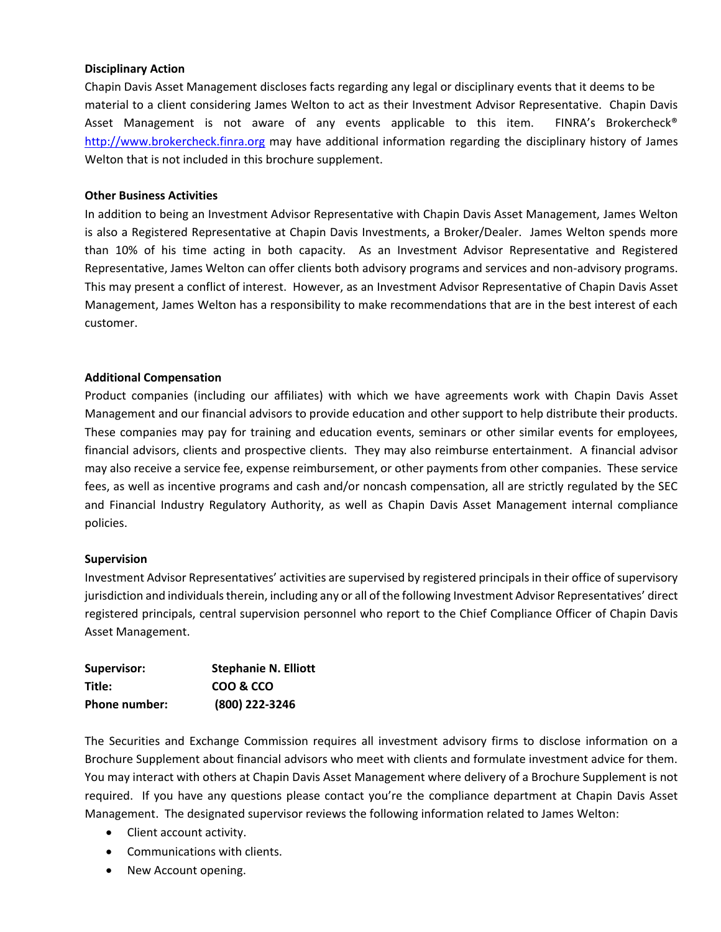#### **Disciplinary Action**

Chapin Davis Asset Management discloses facts regarding any legal or disciplinary events that it deems to be material to a client considering James Welton to act as their Investment Advisor Representative. Chapin Davis Asset Management is not aware of any events applicable to this item. FINRA's Brokercheck® [http://www.brokercheck.finra.org](http://www.brokercheck.finra.org/) may have additional information regarding the disciplinary history of James Welton that is not included in this brochure supplement.

#### **Other Business Activities**

In addition to being an Investment Advisor Representative with Chapin Davis Asset Management, James Welton is also a Registered Representative at Chapin Davis Investments, a Broker/Dealer. James Welton spends more than 10% of his time acting in both capacity. As an Investment Advisor Representative and Registered Representative, James Welton can offer clients both advisory programs and services and non-advisory programs. This may present a conflict of interest. However, as an Investment Advisor Representative of Chapin Davis Asset Management, James Welton has a responsibility to make recommendations that are in the best interest of each customer.

#### **Additional Compensation**

Product companies (including our affiliates) with which we have agreements work with Chapin Davis Asset Management and our financial advisors to provide education and other support to help distribute their products. These companies may pay for training and education events, seminars or other similar events for employees, financial advisors, clients and prospective clients. They may also reimburse entertainment. A financial advisor may also receive a service fee, expense reimbursement, or other payments from other companies. These service fees, as well as incentive programs and cash and/or noncash compensation, all are strictly regulated by the SEC and Financial Industry Regulatory Authority, as well as Chapin Davis Asset Management internal compliance policies.

#### **Supervision**

Investment Advisor Representatives' activities are supervised by registered principals in their office of supervisory jurisdiction and individuals therein, including any or all of the following Investment Advisor Representatives' direct registered principals, central supervision personnel who report to the Chief Compliance Officer of Chapin Davis Asset Management.

| Supervisor:          | <b>Stephanie N. Elliott</b> |
|----------------------|-----------------------------|
| Title:               | COO & CCO                   |
| <b>Phone number:</b> | (800) 222-3246              |

The Securities and Exchange Commission requires all investment advisory firms to disclose information on a Brochure Supplement about financial advisors who meet with clients and formulate investment advice for them. You may interact with others at Chapin Davis Asset Management where delivery of a Brochure Supplement is not required. If you have any questions please contact you're the compliance department at Chapin Davis Asset Management. The designated supervisor reviews the following information related to James Welton:

- Client account activity.
- Communications with clients.
- New Account opening.